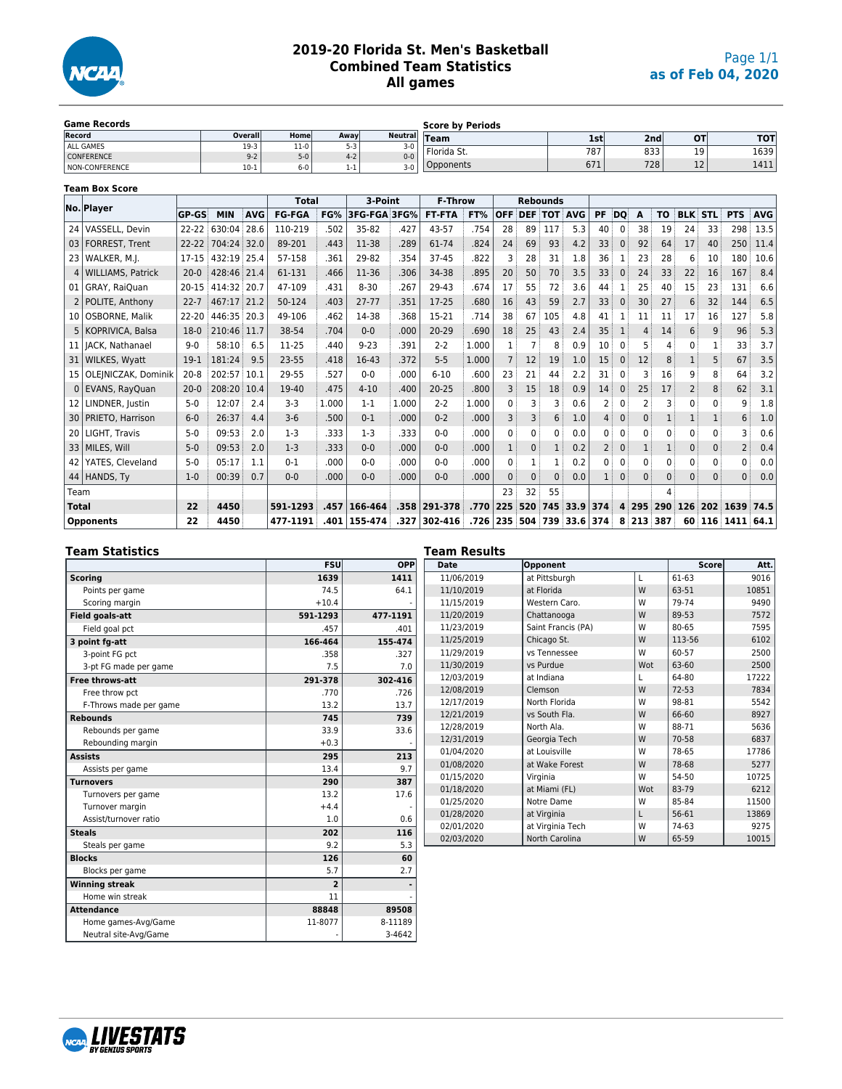

# **2019-20 Florida St. Men's Basketball Combined Team Statistics All games**

| <b>Game Records</b> |         |         |         | <b>Score by Periods</b> |             |     |      |                 |      |  |  |
|---------------------|---------|---------|---------|-------------------------|-------------|-----|------|-----------------|------|--|--|
| Record              | Overall | Home    | Awavl   | Neutral Team            |             | 1st | 2nd  | O1              | тот  |  |  |
| ALL GAMES           | $19-3$  | $11-0$  | $5-3$   | $3-0$                   | Florida St. | 787 | 833  | $\overline{10}$ | 1639 |  |  |
| <b>CONFERENCE</b>   | $9 - 2$ | $5-0$   | $4 - 2$ | $0 - 0$                 |             |     |      | ∸ ~             |      |  |  |
| NON-CONFERENCE      | $10-1$  | $6 - 0$ | 1-1     | $3-0$                   | Opponents   | 671 | 7281 | $\sim$<br>--    | 1411 |  |  |

#### **Team Box Score**

|              | No. Player               |              |             |            | <b>Total</b>  |       | 3-Point      |       | <b>F-Throw</b> |          |            |                    | <b>Rebounds</b> |                  |           |              |          |             |              |                |               |            |
|--------------|--------------------------|--------------|-------------|------------|---------------|-------|--------------|-------|----------------|----------|------------|--------------------|-----------------|------------------|-----------|--------------|----------|-------------|--------------|----------------|---------------|------------|
|              |                          | <b>GP-GS</b> | <b>MIN</b>  | <b>AVG</b> | <b>FG-FGA</b> | FG%   | 3FG-FGA 3FG% |       | <b>FT-FTA</b>  | FT%      | <b>OFF</b> | <b>DEF TOT AVG</b> |                 |                  | <b>PF</b> | DQ           | A        | <b>TO</b>   |              | <b>BLK STL</b> | <b>PTS</b>    | <b>AVG</b> |
|              | 24   VASSELL, Devin      | $22 - 22$    | 630:04      | 28.6       | 110-219       | .502  | 35-82        | .427  | 43-57          | .754     | 28         | 89                 | 117             | 5.3              | 40        | 0            | 38       | 19          | 24           | 33             | 298           | 13.5       |
|              | 03   FORREST, Trent      | $22 - 22$    | 704:24      | 32.0       | 89-201        | .443  | 11-38        | .289  | 61-74          | .824     | 24         | 69                 | 93              | 4.2              | 33        | $\mathbf{0}$ | 92       | 64          | 17           | 40             | 250           | 11.4       |
|              | 23   WALKER, M.J.        | 17-15        | 432:19 25.4 |            | 57-158        | .361  | 29-82        | .354  | 37-45          | .822     |            | 28                 | 31              | 1.8              | 36        |              | 23       | 28          | 6            | 10             | 180           | 10.6       |
| 4            | WILLIAMS, Patrick        | $20-0$       | 428:46 21.4 |            | 61-131        | .466  | 11-36        | .306  | 34-38          | .895     | 20         | 50                 | 70              | 3.5              | 33        | $\Omega$     | 24       | 33          | 22           | 16             | 167           | 8.4        |
|              | 01   GRAY, RaiQuan       | $20 - 15$    | 414:32 20.7 |            | 47-109        | .431  | $8 - 30$     | .267  | 29-43          | .674     | 17         | 55                 | 72              | 3.6              | 44        |              | 25       | 40          | 15           | 23             | 131           | 6.6        |
|              | 2   POLITE, Anthony      | $22 - 7$     | 467:17 21.2 |            | 50-124        | .403  | $27 - 77$    | .351  | 17-25          | .680     | 16         | 43                 | 59              | 2.7              | 33        | $\Omega$     | 30       | 27          | 6            | 32             | 144           | 6.5        |
|              | 10   OSBORNE, Malik      | 22-20        | 446:35 20.3 |            | 49-106        | .462  | 14-38        | .368  | 15-21          | .714     | 38         | 67                 | 105             | 4.8              | 41        |              | 11       | 11          | 17           | 16             | 127           | 5.8        |
|              | 5   KOPRIVICA, Balsa     | $18-0$       | 210:46 11.7 |            | 38-54         | .704  | $0 - 0$      | .000  | 20-29          | .690     | 18         | 25                 | 43              | 2.4              | 35        |              | 4        | 14          | 6            | 9              | 96            | 5.3        |
|              | 11   JACK, Nathanael     | $9 - 0$      | 58:10       | 6.5        | 11-25         | .440  | $9 - 23$     | .391  | $2 - 2$        | 1.000    |            |                    | 8               | 0.9              | 10        | 0            |          | 4           | 0            |                | 33            | 3.7        |
|              | 31   WILKES, Wyatt       | $19-1$       | 181:24      | 9.5        | 23-55         | .418  | 16-43        | .372  | $5 - 5$        | 1.000    |            | 12                 | 19              | 1.0              | 15        | 0            | 12       | 8           |              | 5              | 67            | 3.5        |
|              | 15   OLEINICZAK, Dominik | $20 - 8$     | 202:57 10.1 |            | 29-55         | .527  | $0 - 0$      | .000  | $6 - 10$       | .600     | 23         | 21                 | 44              | 2.2              | 31        | 0            |          | 16          | 9            | 8              | 64            | 3.2        |
|              | 0 EVANS, RayQuan         | $20 - 0$     | 208:20 10.4 |            | 19-40         | .475  | $4 - 10$     | .400  | $20 - 25$      | .800     |            | 15                 | 18              | 0.9              | 14        | $\Omega$     | 25       | 17          | 2            | 8              | 62            | 3.1        |
| 12           | LINDNER, Justin          | $5-0$        | 12:07       | 2.4        | $3 - 3$       | 1.000 | $1 - 1$      | 1.000 | $2 - 2$        | 1.000    | 0          | 3                  | 3               | 0.6              |           | 0            |          |             | $\mathbf{0}$ | 0              | 9             | 1.8        |
|              | 30   PRIETO, Harrison    | $6-0$        | 26:37       | 4.4        | $3-6$         | .500  | $0 - 1$      | .000  | $0 - 2$        | .000     |            | 3                  | 6               | 1.0              |           | 0            | $\Omega$ |             |              |                | 6             | 1.0        |
|              | 20   LIGHT, Travis       | $5-0$        | 09:53       | 2.0        | $1-3$         | .333  | $1-3$        | .333  | $0 - 0$        | .000     | 0          | $\Omega$           | $\mathbf{0}$    | 0.0              | 0         | $\Omega$     |          | 0           | 0            | 0              |               | 0.6        |
|              | 33   MILES, Will         | $5-0$        | 09:53       | 2.0        | $1-3$         | .333  | $0 - 0$      | .000  | $0 - 0$        | .000     |            | $\mathbf{0}$       | $\mathbf{1}$    | 0.2              |           | $\mathbf{0}$ |          |             | $\mathbf{0}$ | $\mathbf{0}$   | 2             | 0.4        |
|              | 42   YATES, Cleveland    | $5-0$        | 05:17       | 1.1        | $0 - 1$       | .000  | $0 - 0$      | .000  | $0 - 0$        | .000     | $\Omega$   | 1                  | 1               | 0.2              | 0         | 0            | 0        | $\mathbf 0$ | 0            | 0              | 0             | 0.0        |
|              | 44 HANDS, Ty             | $1-0$        | 00:39       | 0.7        | $0 - 0$       | .000  | $0 - 0$      | .000  | $0 - 0$        | .000     | $\Omega$   | $\Omega$           | $\Omega$        | 0.0              |           | $\mathbf{0}$ | $\Omega$ | $\Omega$    | $\Omega$     | $\Omega$       | $\Omega$      | 0.0        |
| Team         |                          |              |             |            |               |       |              |       |                |          | 23         | 32                 | 55              |                  |           |              |          | 4           |              |                |               |            |
| <b>Total</b> |                          | 22           | 4450        |            | 591-1293      | .457  | 166-464      |       | $.358 291-378$ |          | .770 225   | 520 745            |                 | $33.9$ 374       |           |              |          | 4 295 290   | 126          |                | 202 1639 74.5 |            |
|              | <b>Opponents</b>         | 22           | 4450        |            | 477-1191      | .401  | 155-474      | .327  | 302-416        | .726 235 |            |                    |                 | 504 739 33.6 374 |           | 8            | 213 387  |             | 60           |                | 116 1411 64.1 |            |

### **Team Statistics**

|                        | <b>FSU</b>     | OPP      |
|------------------------|----------------|----------|
| <b>Scoring</b>         | 1639           | 1411     |
| Points per game        | 74.5           | 64.1     |
| Scoring margin         | $+10.4$        |          |
| <b>Field goals-att</b> | 591-1293       | 477-1191 |
| Field goal pct         | .457           | .401     |
| 3 point fq-att         | 166-464        | 155-474  |
| 3-point FG pct         | .358           | .327     |
| 3-pt FG made per game  | 7.5            | 7.0      |
| <b>Free throws-att</b> | 291-378        | 302-416  |
| Free throw pct         | .770           | .726     |
| F-Throws made per game | 13.2           | 13.7     |
| <b>Rebounds</b>        | 745            | 739      |
| Rebounds per game      | 33.9           | 33.6     |
| Rebounding margin      | $+0.3$         |          |
| <b>Assists</b>         | 295            | 213      |
| Assists per game       | 13.4           | 9.7      |
| <b>Turnovers</b>       | 290            | 387      |
| Turnovers per game     | 13.2           | 17.6     |
| Turnover margin        | $+4.4$         |          |
| Assist/turnover ratio  | 1.0            | 0.6      |
| <b>Steals</b>          | 202            | 116      |
| Steals per game        | 9.2            | 5.3      |
| <b>Blocks</b>          | 126            | 60       |
| Blocks per game        | 5.7            | 2.7      |
| <b>Winning streak</b>  | $\overline{2}$ |          |
| Home win streak        | 11             |          |
| <b>Attendance</b>      | 88848          | 89508    |
| Home games-Avg/Game    | 11-8077        | 8-11189  |
| Neutral site-Avg/Game  |                | 3-4642   |

| <b>Date</b> | Opponent           |     | <b>Score</b> | Att.  |
|-------------|--------------------|-----|--------------|-------|
| 11/06/2019  | at Pittsburgh      | L   | 61-63        | 9016  |
| 11/10/2019  | at Florida         | W   | 63-51        | 10851 |
| 11/15/2019  | Western Caro.      | W   | 79-74        | 9490  |
| 11/20/2019  | Chattanooga        | W   | 89-53        | 7572  |
| 11/23/2019  | Saint Francis (PA) | W   | 80-65        | 7595  |
| 11/25/2019  | Chicago St.        | W   | 113-56       | 6102  |
| 11/29/2019  | vs Tennessee       | W   | 60-57        | 2500  |
| 11/30/2019  | vs Purdue          | Wot | 63-60        | 2500  |
| 12/03/2019  | at Indiana         | L   | 64-80        | 17222 |
| 12/08/2019  | Clemson            | W   | $72 - 53$    | 7834  |
| 12/17/2019  | North Florida      | W   | 98-81        | 5542  |
| 12/21/2019  | vs South Fla.      | W   | 66-60        | 8927  |
| 12/28/2019  | North Ala.         | W   | 88-71        | 5636  |
| 12/31/2019  | Georgia Tech       | W   | 70-58        | 6837  |
| 01/04/2020  | at Louisville      | W   | 78-65        | 17786 |
| 01/08/2020  | at Wake Forest     | W   | 78-68        | 5277  |
| 01/15/2020  | Virginia           | W   | 54-50        | 10725 |
| 01/18/2020  | at Miami (FL)      | Wot | 83-79        | 6212  |
| 01/25/2020  | Notre Dame         | W   | 85-84        | 11500 |
| 01/28/2020  | at Virginia        | L   | 56-61        | 13869 |
| 02/01/2020  | at Virginia Tech   | W   | 74-63        | 9275  |
| 02/03/2020  | North Carolina     | W   | 65-59        | 10015 |